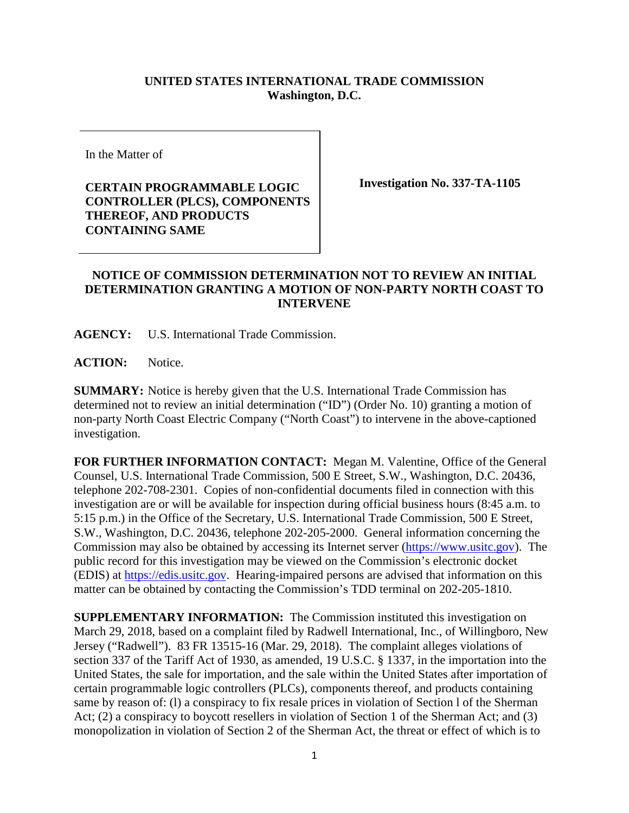## **UNITED STATES INTERNATIONAL TRADE COMMISSION Washington, D.C.**

In the Matter of

**CERTAIN PROGRAMMABLE LOGIC CONTROLLER (PLCS), COMPONENTS THEREOF, AND PRODUCTS CONTAINING SAME**

**Investigation No. 337-TA-1105**

## **NOTICE OF COMMISSION DETERMINATION NOT TO REVIEW AN INITIAL DETERMINATION GRANTING A MOTION OF NON-PARTY NORTH COAST TO INTERVENE**

**AGENCY:** U.S. International Trade Commission.

**ACTION:** Notice.

**SUMMARY:** Notice is hereby given that the U.S. International Trade Commission has determined not to review an initial determination ("ID") (Order No. 10) granting a motion of non-party North Coast Electric Company ("North Coast") to intervene in the above-captioned investigation.

**FOR FURTHER INFORMATION CONTACT:** Megan M. Valentine, Office of the General Counsel, U.S. International Trade Commission, 500 E Street, S.W., Washington, D.C. 20436, telephone 202-708-2301. Copies of non-confidential documents filed in connection with this investigation are or will be available for inspection during official business hours (8:45 a.m. to 5:15 p.m.) in the Office of the Secretary, U.S. International Trade Commission, 500 E Street, S.W., Washington, D.C. 20436, telephone 202-205-2000. General information concerning the Commission may also be obtained by accessing its Internet server [\(https://www.usitc.gov\)](https://www.usitc.gov/). The public record for this investigation may be viewed on the Commission's electronic docket (EDIS) at [https://edis.usitc.gov.](https://edis.usitc.gov/) Hearing-impaired persons are advised that information on this matter can be obtained by contacting the Commission's TDD terminal on 202-205-1810.

**SUPPLEMENTARY INFORMATION:** The Commission instituted this investigation on March 29, 2018, based on a complaint filed by Radwell International, Inc., of Willingboro, New Jersey ("Radwell"). 83 FR 13515-16 (Mar. 29, 2018). The complaint alleges violations of section 337 of the Tariff Act of 1930, as amended, 19 U.S.C. § 1337, in the importation into the United States, the sale for importation, and the sale within the United States after importation of certain programmable logic controllers (PLCs), components thereof, and products containing same by reason of: (l) a conspiracy to fix resale prices in violation of Section l of the Sherman Act; (2) a conspiracy to boycott resellers in violation of Section 1 of the Sherman Act; and (3) monopolization in violation of Section 2 of the Sherman Act, the threat or effect of which is to